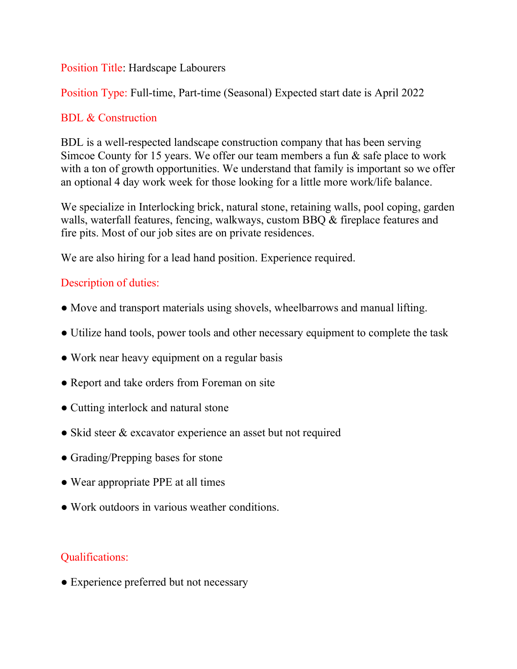#### Position Title: Hardscape Labourers

Position Type: Full-time, Part-time (Seasonal) Expected start date is April 2022

## BDL & Construction

BDL is a well-respected landscape construction company that has been serving Simcoe County for 15 years. We offer our team members a fun & safe place to work with a ton of growth opportunities. We understand that family is important so we offer an optional 4 day work week for those looking for a little more work/life balance.

We specialize in Interlocking brick, natural stone, retaining walls, pool coping, garden walls, waterfall features, fencing, walkways, custom BBQ & fireplace features and fire pits. Most of our job sites are on private residences.

We are also hiring for a lead hand position. Experience required.

## Description of duties:

- Move and transport materials using shovels, wheelbarrows and manual lifting.
- Utilize hand tools, power tools and other necessary equipment to complete the task
- Work near heavy equipment on a regular basis
- Report and take orders from Foreman on site
- Cutting interlock and natural stone
- Skid steer & excavator experience an asset but not required
- Grading/Prepping bases for stone
- Wear appropriate PPE at all times
- Work outdoors in various weather conditions.

## Qualifications:

• Experience preferred but not necessary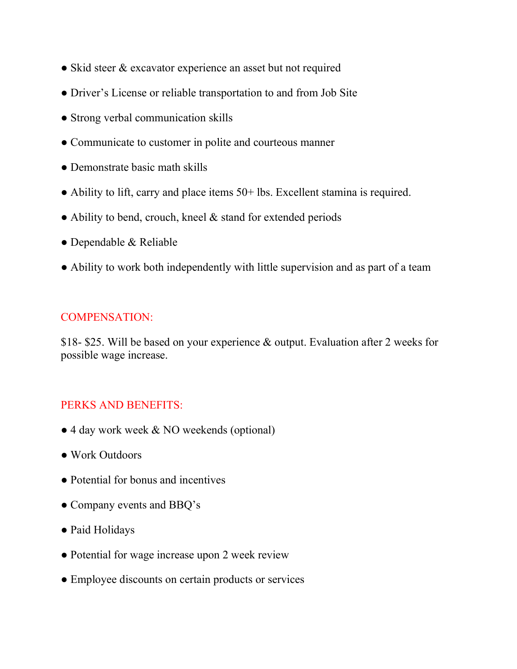- Skid steer & excavator experience an asset but not required
- Driver's License or reliable transportation to and from Job Site
- Strong verbal communication skills
- Communicate to customer in polite and courteous manner
- Demonstrate basic math skills
- Ability to lift, carry and place items 50+ lbs. Excellent stamina is required.
- Ability to bend, crouch, kneel & stand for extended periods
- Dependable & Reliable
- Ability to work both independently with little supervision and as part of a team

#### COMPENSATION:

\$18- \$25. Will be based on your experience & output. Evaluation after 2 weeks for possible wage increase.

## PERKS AND BENEFITS:

- 4 day work week & NO weekends (optional)
- Work Outdoors
- Potential for bonus and incentives
- Company events and BBQ's
- Paid Holidays
- Potential for wage increase upon 2 week review
- Employee discounts on certain products or services